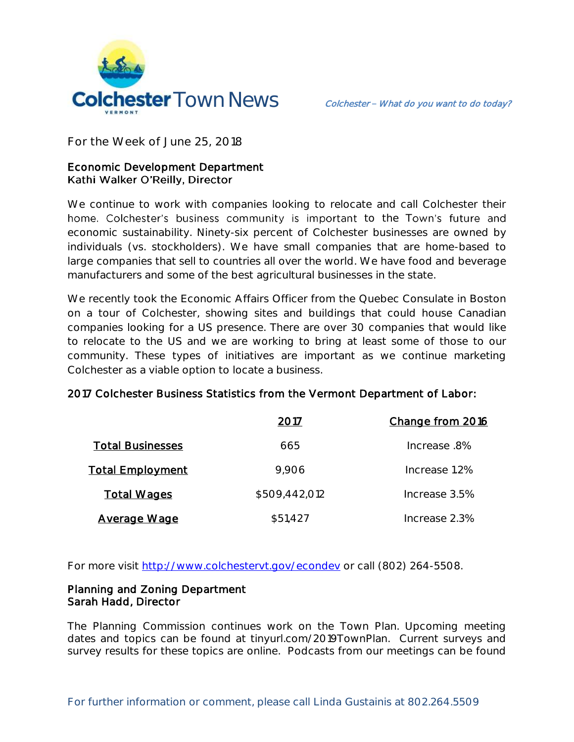

**For the Week of June 25, 2018**

# Economic Development Department Kathi Walker O'Reilly, Director

We continue to work with companies looking to relocate and call Colchester their home. Colchester's business community is important to the Town's future and economic sustainability. Ninety-six percent of Colchester businesses are owned by individuals (vs. stockholders). We have small companies that are home-based to large companies that sell to countries all over the world. We have food and beverage manufacturers and some of the best agricultural businesses in the state.

We recently took the Economic Affairs Officer from the Quebec Consulate in Boston on a tour of Colchester, showing sites and buildings that could house Canadian companies looking for a US presence. There are over 30 companies that would like to relocate to the US and we are working to bring at least some of those to our community. These types of initiatives are important as we continue marketing Colchester as a viable option to locate a business.

|                         | 2017          | Change from 2016 |
|-------------------------|---------------|------------------|
| <b>Total Businesses</b> | 665           | lncrease .8%     |
| <b>Total Employment</b> | 9,906         | Increase 1.2%    |
| <b>Total Wages</b>      | \$509,442,012 | Increase 3.5%    |
| <b>Average Wage</b>     | \$51,427      | Increase 2.3%    |

### 2017 Colchester Business Statistics from the Vermont Department of Labor:

For more visit [http://www.colchestervt.gov/e](http://www.colchestervt.gov/)condev or call (802) 264-5508.

### Planning and Zoning Department Sarah Hadd, Director

The Planning Commission continues work on the Town Plan. Upcoming meeting dates and topics can be found at tinyurl.com/2019TownPlan. Current surveys and survey results for these topics are online. Podcasts from our meetings can be found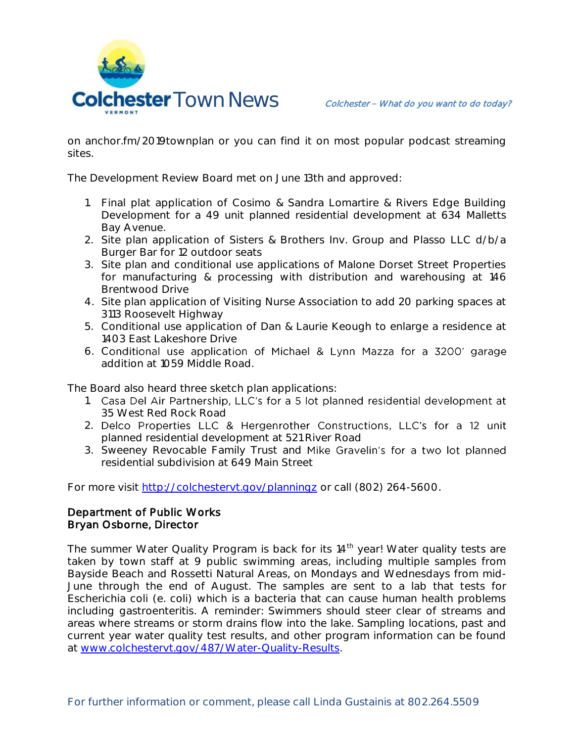

on anchor.fm/2019townplan or you can find it on most popular podcast streaming sites.

The Development Review Board met on June 13th and approved:

- 1. Final plat application of Cosimo & Sandra Lomartire & Rivers Edge Building Development for a 49 unit planned residential development at 634 Malletts Bay Avenue.
- 2. Site plan application of Sisters & Brothers Inv. Group and Plasso LLC d/b/a Burger Bar for 12 outdoor seats
- 3. Site plan and conditional use applications of Malone Dorset Street Properties for manufacturing & processing with distribution and warehousing at 146 Brentwood Drive
- 4. Site plan application of Visiting Nurse Association to add 20 parking spaces at 3113 Roosevelt Highway
- 5. Conditional use application of Dan & Laurie Keough to enlarge a residence at 1403 East Lakeshore Drive
- 6. Conditional use application of Michael & Lynn Mazza for a 3200' garage addition at 1059 Middle Road.

The Board also heard three sketch plan applications:

- 1. Casa Del Air Partnership, LLC's for a 5 lot planned residential development at 35 West Red Rock Road
- 2. Delco Properties LLC & Hergenrother Constructions, LLC's for a 12 unit planned residential development at 521 River Road
- 3. Sweeney Revocable Family Trust and Mike Gravelin's for a two lot planned residential subdivision at 649 Main Street

For more visit<http://colchestervt.gov/planningz> or call (802) 264-5600.

## Department of Public Works Bryan Osborne, Director

The summer Water Quality Program is back for its 14<sup>th</sup> year! Water quality tests are taken by town staff at 9 public swimming areas, including multiple samples from Bayside Beach and Rossetti Natural Areas, on Mondays and Wednesdays from mid-June through the end of August. The samples are sent to a lab that tests for Escherichia coli (e. coli) which is a bacteria that can cause human health problems including gastroenteritis. A reminder: Swimmers should steer clear of streams and areas where streams or storm drains flow into the lake. Sampling locations, past and current year water quality test results, and other program information can be found at [www.colchestervt.gov/487/Water-Quality-Results.](http://www.colchestervt.gov/487/Water-Quality-Results)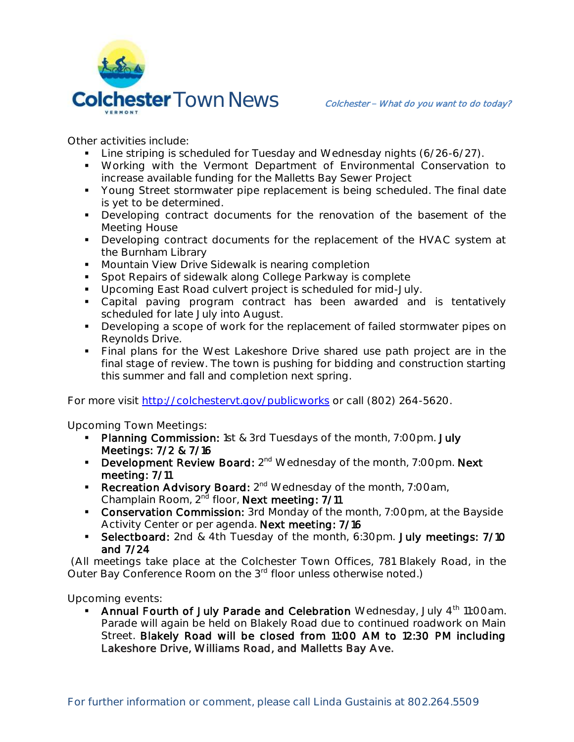

Other activities include:

- **Line striping is scheduled for Tuesday and Wednesday nights (6/26-6/27).**
- Working with the Vermont Department of Environmental Conservation to increase available funding for the Malletts Bay Sewer Project
- **Young Street stormwater pipe replacement is being scheduled. The final date** is yet to be determined.
- **Developing contract documents for the renovation of the basement of the** Meeting House
- **Developing contract documents for the replacement of the HVAC system at** the Burnham Library
- **Mountain View Drive Sidewalk is nearing completion**
- **Spot Repairs of sidewalk along College Parkway is complete**
- **Upcoming East Road culvert project is scheduled for mid-July.**
- Capital paving program contract has been awarded and is tentatively scheduled for late July into August.
- Developing a scope of work for the replacement of failed stormwater pipes on Reynolds Drive.
- Final plans for the West Lakeshore Drive shared use path project are in the final stage of review. The town is pushing for bidding and construction starting this summer and fall and completion next spring.

For more visit<http://colchestervt.gov/publicworks> or call (802) 264-5620.

**Upcoming Town Meetings:** 

- **Planning Commission:** 1st & 3rd Tuesdays of the month, 7:00pm. July Meetings: 7/2 & 7/16
- **Development Review Board:**  $2^{nd}$  Wednesday of the month, 7:00pm. Next meeting: 7/11
- Recreation Advisory Board: 2<sup>nd</sup> Wednesday of the month, 7:00am, Champlain Room, 2<sup>nd</sup> floor, Next meeting: 7/11
- Conservation Commission: 3rd Monday of the month, 7:00pm, at the Bayside Activity Center or per agenda. Next meeting: 7/16
- Selectboard: 2nd & 4th Tuesday of the month, 6:30pm. July meetings: 7/10 and 7/24

(All meetings take place at the Colchester Town Offices, 781 Blakely Road, in the Outer Bay Conference Room on the 3<sup>rd</sup> floor unless otherwise noted.)

**Upcoming events:** 

Annual Fourth of July Parade and Celebration Wednesday, July 4<sup>th</sup> 11:00am. Parade will again be held on Blakely Road due to continued roadwork on Main Street. Blakely Road will be closed from 11:00 AM to 12:30 PM including Lakeshore Drive, Williams Road, and Malletts Bay Ave.